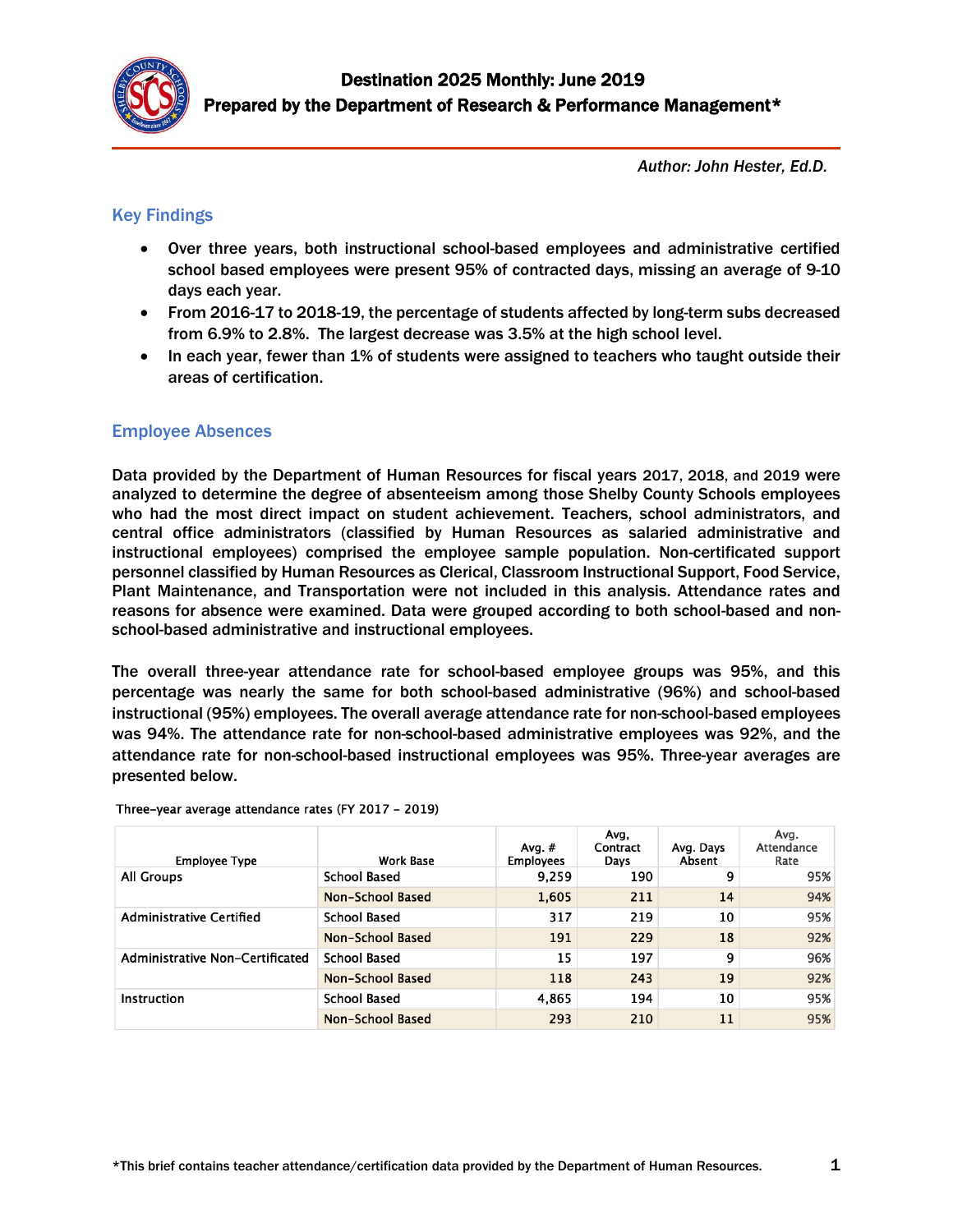

*Author: John Hester, Ed.D.*

# Key Findings

- Over three years, both instructional school-based employees and administrative certified school based employees were present 95% of contracted days, missing an average of 9-10 days each year.
- From 2016-17 to 2018-19, the percentage of students affected by long-term subs decreased from 6.9% to 2.8%. The largest decrease was 3.5% at the high school level.
- In each year, fewer than 1% of students were assigned to teachers who taught outside their areas of certification.

## Employee Absences

Data provided by the Department of Human Resources for fiscal years 2017, 2018, and 2019 were analyzed to determine the degree of absenteeism among those Shelby County Schools employees who had the most direct impact on student achievement. Teachers, school administrators, and central office administrators (classified by Human Resources as salaried administrative and instructional employees) comprised the employee sample population. Non-certificated support personnel classified by Human Resources as Clerical, Classroom Instructional Support, Food Service, Plant Maintenance, and Transportation were not included in this analysis. Attendance rates and reasons for absence were examined. Data were grouped according to both school-based and nonschool-based administrative and instructional employees.

The overall three-year attendance rate for school-based employee groups was 95%, and this percentage was nearly the same for both school-based administrative (96%) and school-based instructional (95%) employees. The overall average attendance rate for non-school-based employees was 94%. The attendance rate for non-school-based administrative employees was 92%, and the attendance rate for non-school-based instructional employees was 95%. Three-year averages are presented below.

| <b>Employee Type</b>            | <b>Work Base</b>    | Avg. $#$<br><b>Employees</b> | Avg,<br>Contract<br>Days | Avg. Days<br>Absent | Avg.<br>Attendance<br>Rate |
|---------------------------------|---------------------|------------------------------|--------------------------|---------------------|----------------------------|
| All Groups                      | <b>School Based</b> | 9,259                        | 190                      | 9                   | 95%                        |
|                                 | Non-School Based    | 1,605                        | 211                      | 14                  | 94%                        |
| Administrative Certified        | <b>School Based</b> | 317                          | 219                      | 10                  | 95%                        |
|                                 | Non-School Based    | 191                          | 229                      | 18                  | 92%                        |
| Administrative Non-Certificated | <b>School Based</b> | 15                           | 197                      | 9                   | 96%                        |
|                                 | Non-School Based    | 118                          | 243                      | 19                  | 92%                        |
| <b>Instruction</b>              | <b>School Based</b> | 4,865                        | 194                      | 10                  | 95%                        |
|                                 | Non-School Based    | 293                          | 210                      | 11                  | 95%                        |

Three-year average attendance rates (FY 2017 - 2019)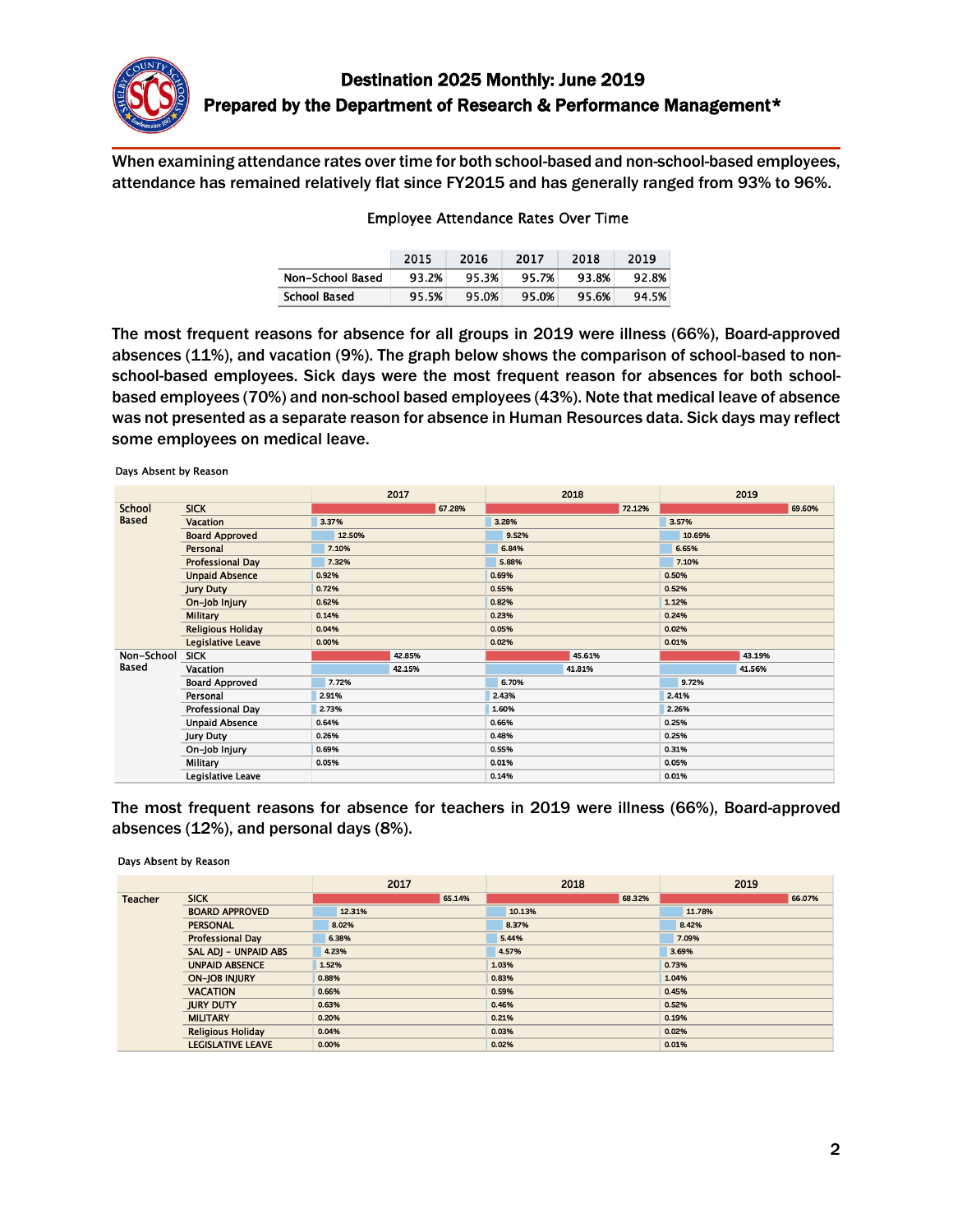

When examining attendance rates over time for both school-based and non-school-based employees, attendance has remained relatively flat since FY2015 and has generally ranged from 93% to 96%.

#### Employee Attendance Rates Over Time

|                  | 2015  | 2016  | 2017  | 2018  | 2019  |
|------------------|-------|-------|-------|-------|-------|
| Non-School Based | 93.2% | 95.3% | 95.7% | 93.8% | 92.8% |
| School Based     | 95.5% | 95.0% | 95.0% | 95.6% | 94.5% |

The most frequent reasons for absence for all groups in 2019 were illness (66%), Board-approved absences (11%), and vacation (9%). The graph below shows the comparison of school-based to nonschool-based employees. Sick days were the most frequent reason for absences for both schoolbased employees (70%) and non-school based employees (43%). Note that medical leave of absence was not presented as a separate reason for absence in Human Resources data. Sick days may reflect some employees on medical leave.

|              |                          | 2017   | 2018   | 2019   |  |
|--------------|--------------------------|--------|--------|--------|--|
| School       | <b>SICK</b>              | 67.28% | 72.12% | 69.60% |  |
| <b>Based</b> | <b>Vacation</b>          | 3.37%  | 3.28%  | 3.57%  |  |
|              | <b>Board Approved</b>    | 12.50% | 9.52%  | 10.69% |  |
|              | Personal                 | 7.10%  | 6.84%  | 6.65%  |  |
|              | <b>Professional Day</b>  | 7.32%  | 5.88%  | 7.10%  |  |
|              | <b>Unpaid Absence</b>    | 0.92%  | 0.69%  | 0.50%  |  |
|              | <b>Jury Duty</b>         | 0.72%  | 0.55%  | 0.52%  |  |
|              | On-Job Injury            | 0.62%  | 0.82%  | 1.12%  |  |
|              | <b>Military</b>          | 0.14%  | 0.23%  | 0.24%  |  |
|              | <b>Religious Holiday</b> | 0.04%  | 0.05%  | 0.02%  |  |
|              | Legislative Leave        | 0.00%  | 0.02%  | 0.01%  |  |
| Non-School   | <b>SICK</b>              | 42.85% | 45.61% | 43.19% |  |
| Based        | Vacation                 | 42.15% | 41.81% | 41.56% |  |
|              | <b>Board Approved</b>    | 7.72%  | 6.70%  | 9.72%  |  |
|              | Personal                 | 2.91%  | 2.43%  | 2.41%  |  |
|              | Professional Day         | 2.73%  | 1.60%  | 2.26%  |  |
|              | <b>Unpaid Absence</b>    | 0.64%  | 0.66%  | 0.25%  |  |
|              | <b>Jury Duty</b>         | 0.26%  | 0.48%  | 0.25%  |  |
|              | On-Job Injury            | 0.69%  | 0.55%  | 0.31%  |  |
|              | Military                 | 0.05%  | 0.01%  | 0.05%  |  |
|              | Legislative Leave        |        | 0.14%  | 0.01%  |  |

The most frequent reasons for absence for teachers in 2019 were illness (66%), Board-approved absences (12%), and personal days (8%).

Days Absent by Reason

Days Absent by Reason

|                           |                          | 2017   | 2018   | 2019   |  |
|---------------------------|--------------------------|--------|--------|--------|--|
| <b>Teacher</b>            | <b>SICK</b>              | 65.14% | 68.32% | 66.07% |  |
|                           | <b>BOARD APPROVED</b>    | 12.31% | 10.13% | 11.78% |  |
|                           | <b>PERSONAL</b>          | 8.02%  | 8.37%  | 8.42%  |  |
|                           | <b>Professional Day</b>  | 6.38%  | 5.44%  | 7.09%  |  |
|                           | SAL ADJ - UNPAID ABS     | 4.23%  | 4.57%  | 3.69%  |  |
|                           | <b>UNPAID ABSENCE</b>    | 1.52%  | 1.03%  | 0.73%  |  |
|                           | <b>ON-JOB INJURY</b>     | 0.88%  | 0.83%  | 1.04%  |  |
|                           | <b>VACATION</b>          | 0.66%  | 0.59%  | 0.45%  |  |
| <b>JURY DUTY</b><br>0.63% |                          |        | 0.46%  | 0.52%  |  |
|                           | <b>MILITARY</b>          | 0.20%  | 0.21%  | 0.19%  |  |
|                           | <b>Religious Holiday</b> | 0.04%  | 0.03%  | 0.02%  |  |
|                           | <b>LEGISLATIVE LEAVE</b> | 0.00%  | 0.02%  | 0.01%  |  |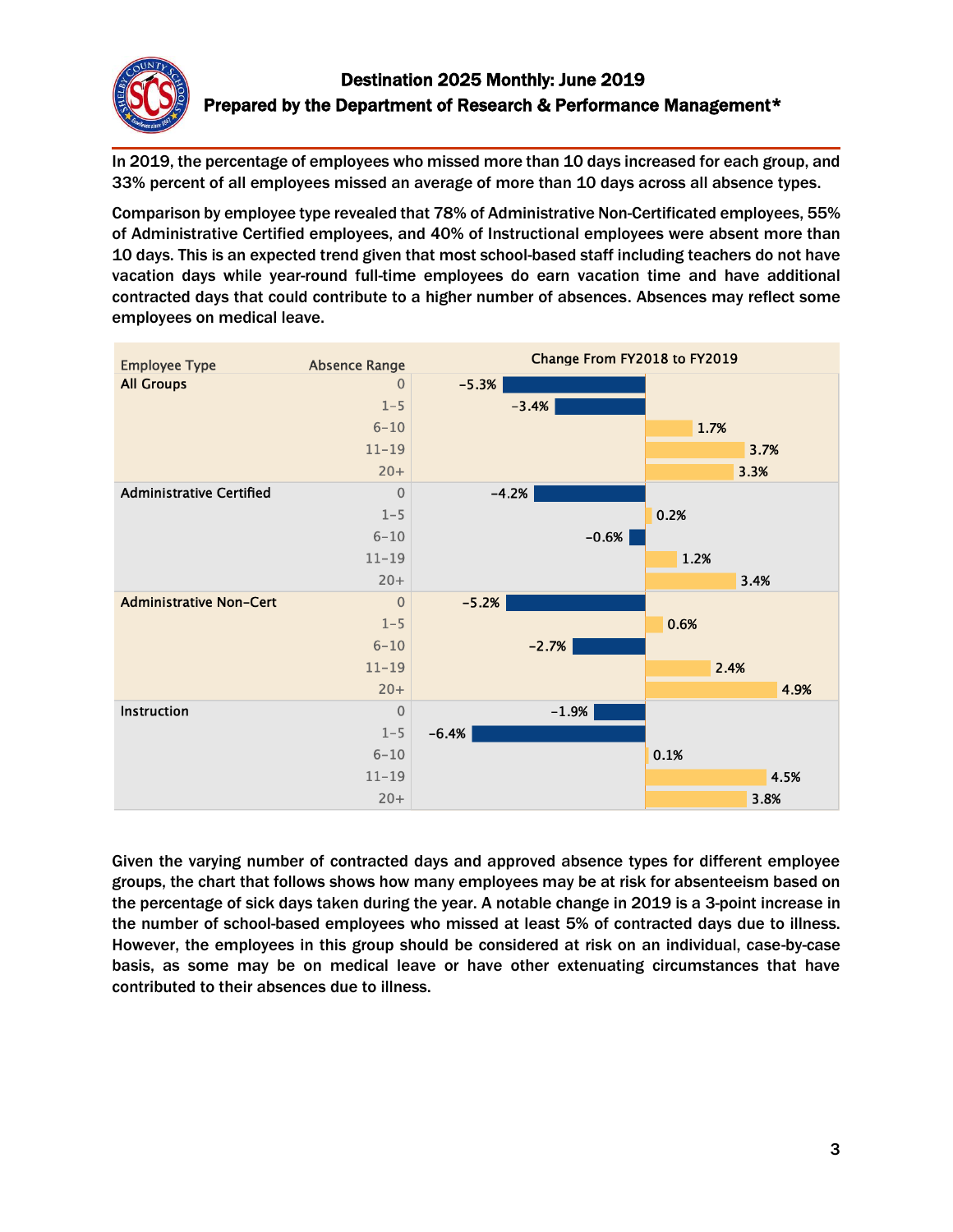

In 2019, the percentage of employees who missed more than 10 days increased for each group, and 33% percent of all employees missed an average of more than 10 days across all absence types.

Comparison by employee type revealed that 78% of Administrative Non-Certificated employees, 55% of Administrative Certified employees, and 40% of Instructional employees were absent more than 10 days. This is an expected trend given that most school-based staff including teachers do not have vacation days while year-round full-time employees do earn vacation time and have additional contracted days that could contribute to a higher number of absences. Absences may reflect some employees on medical leave.



Given the varying number of contracted days and approved absence types for different employee groups, the chart that follows shows how many employees may be at risk for absenteeism based on the percentage of sick days taken during the year. A notable change in 2019 is a 3-point increase in the number of school-based employees who missed at least 5% of contracted days due to illness. However, the employees in this group should be considered at risk on an individual, case-by-case basis, as some may be on medical leave or have other extenuating circumstances that have contributed to their absences due to illness.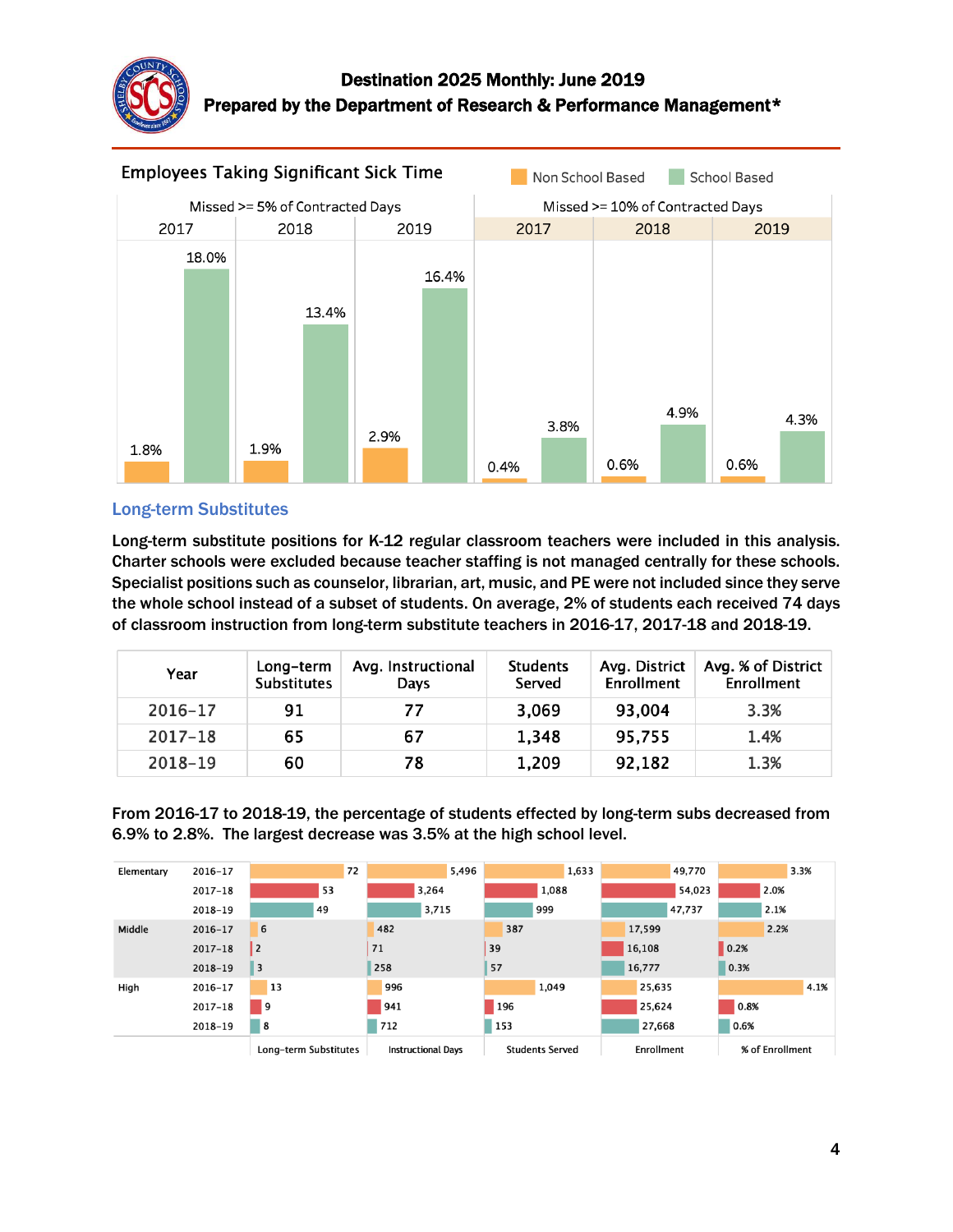

# Destination 2025 Monthly: June 2019 Prepared by the Department of Research & Performance Management\*



### Long-term Substitutes

Long-term substitute positions for K-12 regular classroom teachers were included in this analysis. Charter schools were excluded because teacher staffing is not managed centrally for these schools. Specialist positions such as counselor, librarian, art, music, and PE were not included since they serve the whole school instead of a subset of students. On average, 2% of students each received 74 days of classroom instruction from long-term substitute teachers in 2016-17, 2017-18 and 2018-19.

| Year    | Long-term<br><b>Substitutes</b> | Avg. Instructional<br>Days | <b>Students</b><br>Served | Avg. District<br>Enrollment | Avg. % of District<br>Enrollment |
|---------|---------------------------------|----------------------------|---------------------------|-----------------------------|----------------------------------|
| 2016-17 | 91                              | 77                         | 3,069                     | 93,004                      | 3.3%                             |
| 2017-18 | 65                              | 67                         | 1,348                     | 95,755                      | 1.4%                             |
| 2018-19 | 60                              | 78                         | 1,209                     | 92,182                      | 1.3%                             |

From 2016-17 to 2018-19, the percentage of students effected by long-term subs decreased from 6.9% to 2.8%. The largest decrease was 3.5% at the high school level.

| Elementary | 2016-17     | 72                      | 5,496                     | 1,633                  | 49,770     | 3.3%            |
|------------|-------------|-------------------------|---------------------------|------------------------|------------|-----------------|
|            | $2017 - 18$ | 53                      | 3,264                     | 1,088                  | 54,023     | 2.0%            |
|            | 2018-19     | 49                      | 3,715                     | 999                    | 47,737     | 2.1%            |
| Middle     | 2016-17     | 6                       | 482                       | 387                    | 17,599     | 2.2%            |
|            | $2017 - 18$ | 2                       | 71                        | 39                     | 16,108     | 0.2%            |
|            | $2018 - 19$ | $\overline{\mathbf{3}}$ | 258                       | 57                     | 16,777     | 0.3%            |
| High       | 2016-17     | <sup>13</sup>           | 996                       | 1.049                  | 25,635     | 4.1%            |
|            | $2017 - 18$ | <b>9</b>                | 941                       | <b>196</b>             | 25,624     | 0.8%            |
|            | 2018-19     | 8                       | 712                       | 153                    | 27,668     | 0.6%            |
|            |             | Long-term Substitutes   | <b>Instructional Days</b> | <b>Students Served</b> | Enrollment | % of Enrollment |